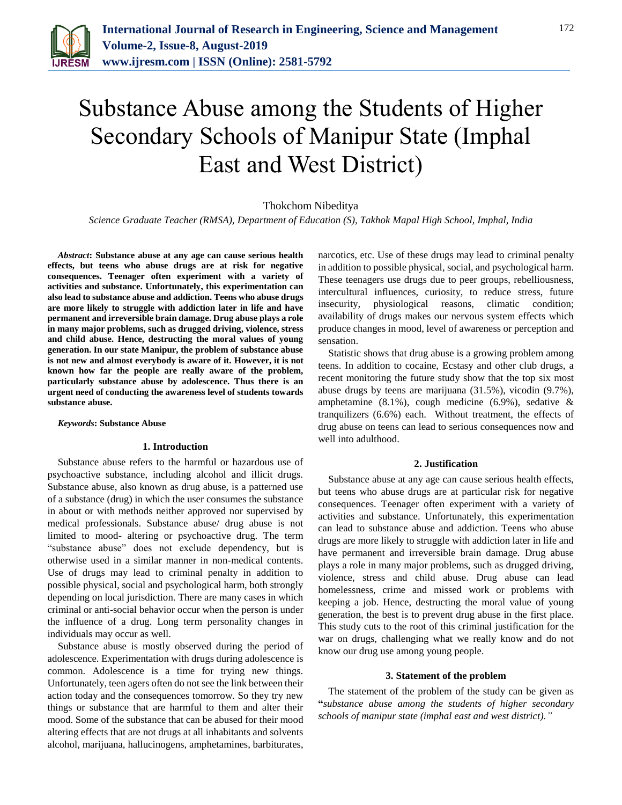

# Substance Abuse among the Students of Higher Secondary Schools of Manipur State (Imphal East and West District)

# Thokchom Nibeditya

*Science Graduate Teacher (RMSA), Department of Education (S), Takhok Mapal High School, Imphal, India*

*Abstract***: Substance abuse at any age can cause serious health effects, but teens who abuse drugs are at risk for negative consequences. Teenager often experiment with a variety of activities and substance. Unfortunately, this experimentation can also lead to substance abuse and addiction. Teens who abuse drugs are more likely to struggle with addiction later in life and have permanent and irreversible brain damage. Drug abuse plays a role in many major problems, such as drugged driving, violence, stress and child abuse. Hence, destructing the moral values of young generation. In our state Manipur, the problem of substance abuse is not new and almost everybody is aware of it. However, it is not known how far the people are really aware of the problem, particularly substance abuse by adolescence. Thus there is an urgent need of conducting the awareness level of students towards substance abuse.**

*Keywords***: Substance Abuse**

#### **1. Introduction**

Substance abuse refers to the harmful or hazardous use of psychoactive substance, including alcohol and illicit drugs. Substance abuse, also known as drug abuse, is a patterned use of a substance (drug) in which the user consumes the substance in about or with methods neither approved nor supervised by medical professionals. Substance abuse/ drug abuse is not limited to mood- altering or psychoactive drug. The term "substance abuse" does not exclude dependency, but is otherwise used in a similar manner in non-medical contents. Use of drugs may lead to criminal penalty in addition to possible physical, social and psychological harm, both strongly depending on local jurisdiction. There are many cases in which criminal or anti-social behavior occur when the person is under the influence of a drug. Long term personality changes in individuals may occur as well.

Substance abuse is mostly observed during the period of adolescence. Experimentation with drugs during adolescence is common. Adolescence is a time for trying new things. Unfortunately, teen agers often do not see the link between their action today and the consequences tomorrow. So they try new things or substance that are harmful to them and alter their mood. Some of the substance that can be abused for their mood altering effects that are not drugs at all inhabitants and solvents alcohol, marijuana, hallucinogens, amphetamines, barbiturates,

narcotics, etc. Use of these drugs may lead to criminal penalty in addition to possible physical, social, and psychological harm. These teenagers use drugs due to peer groups, rebelliousness, intercultural influences, curiosity, to reduce stress, future insecurity, physiological reasons, climatic condition; availability of drugs makes our nervous system effects which produce changes in mood, level of awareness or perception and sensation.

Statistic shows that drug abuse is a growing problem among teens. In addition to cocaine, Ecstasy and other club drugs, a recent monitoring the future study show that the top six most abuse drugs by teens are marijuana (31.5%), vicodin (9.7%), amphetamine (8.1%), cough medicine (6.9%), sedative & tranquilizers (6.6%) each. Without treatment, the effects of drug abuse on teens can lead to serious consequences now and well into adulthood.

#### **2. Justification**

Substance abuse at any age can cause serious health effects, but teens who abuse drugs are at particular risk for negative consequences. Teenager often experiment with a variety of activities and substance. Unfortunately, this experimentation can lead to substance abuse and addiction. Teens who abuse drugs are more likely to struggle with addiction later in life and have permanent and irreversible brain damage. Drug abuse plays a role in many major problems, such as drugged driving, violence, stress and child abuse. Drug abuse can lead homelessness, crime and missed work or problems with keeping a job. Hence, destructing the moral value of young generation, the best is to prevent drug abuse in the first place. This study cuts to the root of this criminal justification for the war on drugs, challenging what we really know and do not know our drug use among young people.

#### **3. Statement of the problem**

The statement of the problem of the study can be given as **"***substance abuse among the students of higher secondary schools of manipur state (imphal east and west district)."*